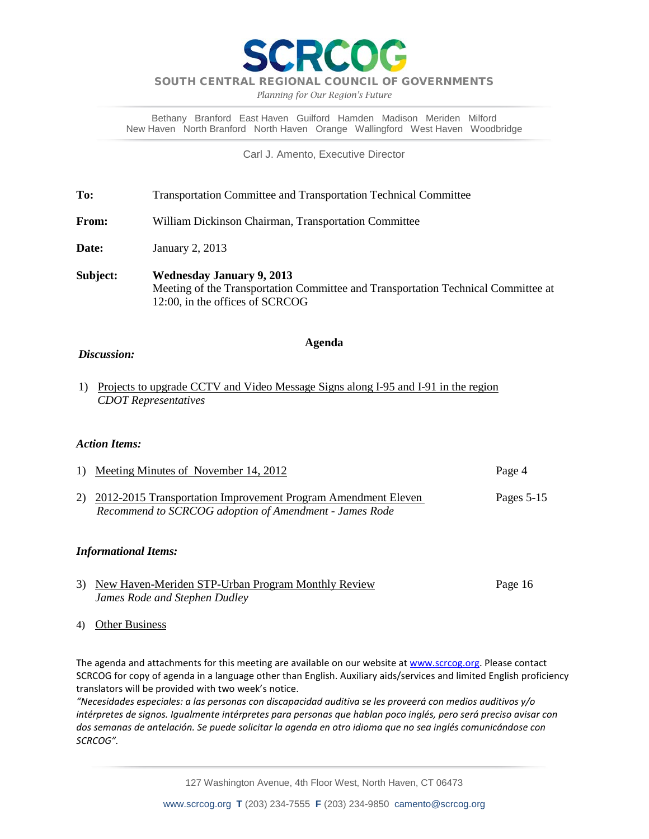

*Planning for Our Region's Future*

Bethany Branford East Haven Guilford Hamden Madison Meriden Milford New Haven North Branford North Haven Orange Wallingford West Haven Woodbridge

Carl J. Amento, Executive Director

**To:** Transportation Committee and Transportation Technical Committee

**From:** William Dickinson Chairman, Transportation Committee

**Date:** January 2, 2013

**Subject: Wednesday January 9, 2013** Meeting of the Transportation Committee and Transportation Technical Committee at 12:00, in the offices of SCRCOG

#### **Agenda**

#### *Discussion:*

1) Projects to upgrade CCTV and Video Message Signs along I-95 and I-91 in the region *CDOT Representatives*

#### *Action Items:*

1) Meeting Minutes of November 14, 2012 Page 4 2) 2012-2015 Transportation Improvement Program Amendment Eleven Pages 5-15 *Recommend to SCRCOG adoption of Amendment - James Rode*

#### *Informational Items:*

- 3) New Haven-Meriden STP-Urban Program Monthly Review Page 16 *James Rode and Stephen Dudley*
- 4) Other Business

The agenda and attachments for this meeting are available on our website at [www.scrcog.org.](http://www.scrcog.org/) Please contact SCRCOG for copy of agenda in a language other than English. Auxiliary aids/services and limited English proficiency translators will be provided with two week's notice.

*"Necesidades especiales: a las personas con discapacidad auditiva se les proveerá con medios auditivos y/o intérpretes de signos. Igualmente intérpretes para personas que hablan poco inglés, pero será preciso avisar con dos semanas de antelación. Se puede solicitar la agenda en otro idioma que no sea inglés comunicándose con SCRCOG".*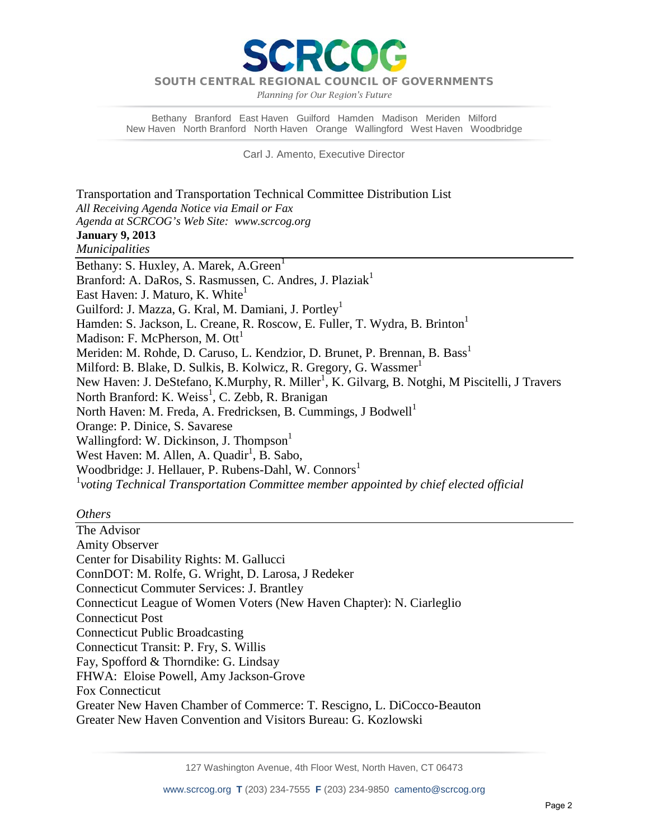DIM

*Planning for Our Region's Future*

Bethany Branford East Haven Guilford Hamden Madison Meriden Milford New Haven North Branford North Haven Orange Wallingford West Haven Woodbridge

Carl J. Amento, Executive Director

Transportation and Transportation Technical Committee Distribution List *All Receiving Agenda Notice via Email or Fax Agenda at SCRCOG's Web Site: www.scrcog.org*  **January 9, 2013** *Municipalities*  Bethany: S. Huxley, A. Marek, A. Green<sup>1</sup> Branford: A. DaRos, S. Rasmussen, C. Andres, J. Plaziak<sup>1</sup> East Haven: J. Maturo, K. White<sup>1</sup> Guilford: J. Mazza, G. Kral, M. Damiani, J. Portley<sup>1</sup> Hamden: S. Jackson, L. Creane, R. Roscow, E. Fuller, T. Wydra, B. Brinton<sup>1</sup> Madison: F. McPherson, M.  $\text{Ott}^1$ Meriden: M. Rohde, D. Caruso, L. Kendzior, D. Brunet, P. Brennan, B. Bass<sup>1</sup> Milford: B. Blake, D. Sulkis, B. Kolwicz, R. Gregory, G. Wassmer<sup>1</sup> New Haven: J. DeStefano, K.Murphy, R. Miller<sup>1</sup>, K. Gilvarg, B. Notghi, M Piscitelli, J Travers North Branford: K. Weiss<sup>1</sup>, C. Zebb, R. Branigan North Haven: M. Freda, A. Fredricksen, B. Cummings, J Bodwell<sup>1</sup> Orange: P. Dinice, S. Savarese Wallingford: W. Dickinson, J. Thompson<sup>1</sup> West Haven: M. Allen, A. Quadir<sup>1</sup>, B. Sabo, Woodbridge: J. Hellauer, P. Rubens-Dahl, W. Connors<sup>1</sup> 1 *voting Technical Transportation Committee member appointed by chief elected official*

#### *Others*

The Advisor Amity Observer Center for Disability Rights: M. Gallucci ConnDOT: M. Rolfe, G. Wright, D. Larosa, J Redeker Connecticut Commuter Services: J. Brantley Connecticut League of Women Voters (New Haven Chapter): N. Ciarleglio Connecticut Post Connecticut Public Broadcasting Connecticut Transit: P. Fry, S. Willis Fay, Spofford & Thorndike: G. Lindsay FHWA: Eloise Powell, Amy Jackson-Grove Fox Connecticut Greater New Haven Chamber of Commerce: T. Rescigno, L. DiCocco-Beauton Greater New Haven Convention and Visitors Bureau: G. Kozlowski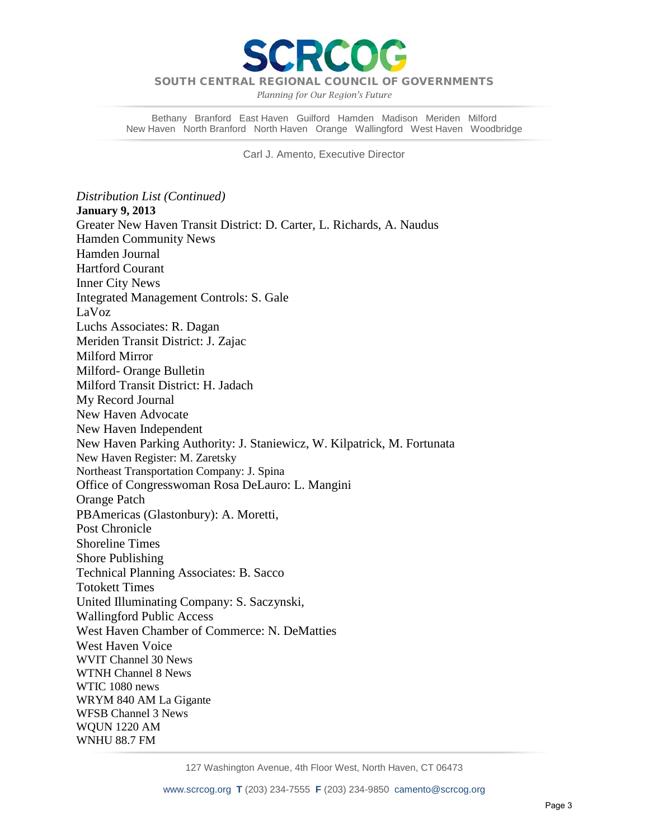

*Planning for Our Region's Future*

Bethany Branford East Haven Guilford Hamden Madison Meriden Milford New Haven North Branford North Haven Orange Wallingford West Haven Woodbridge

Carl J. Amento, Executive Director

*Distribution List (Continued)* **January 9, 2013** Greater New Haven Transit District: D. Carter, L. Richards, A. Naudus Hamden Community News Hamden Journal Hartford Courant Inner City News Integrated Management Controls: S. Gale LaVoz Luchs Associates: R. Dagan Meriden Transit District: J. Zajac Milford Mirror Milford- Orange Bulletin Milford Transit District: H. Jadach My Record Journal New Haven Advocate New Haven Independent New Haven Parking Authority: J. Staniewicz, W. Kilpatrick, M. Fortunata New Haven Register: M. Zaretsky Northeast Transportation Company: J. Spina Office of Congresswoman Rosa DeLauro: L. Mangini Orange Patch PBAmericas (Glastonbury): A. Moretti, Post Chronicle Shoreline Times Shore Publishing Technical Planning Associates: B. Sacco Totokett Times United Illuminating Company: S. Saczynski, Wallingford Public Access West Haven Chamber of Commerce: N. DeMatties West Haven Voice WVIT Channel 30 News WTNH Channel 8 News WTIC 1080 news WRYM 840 AM La Gigante WFSB Channel 3 News WQUN 1220 AM WNHU 88.7 FM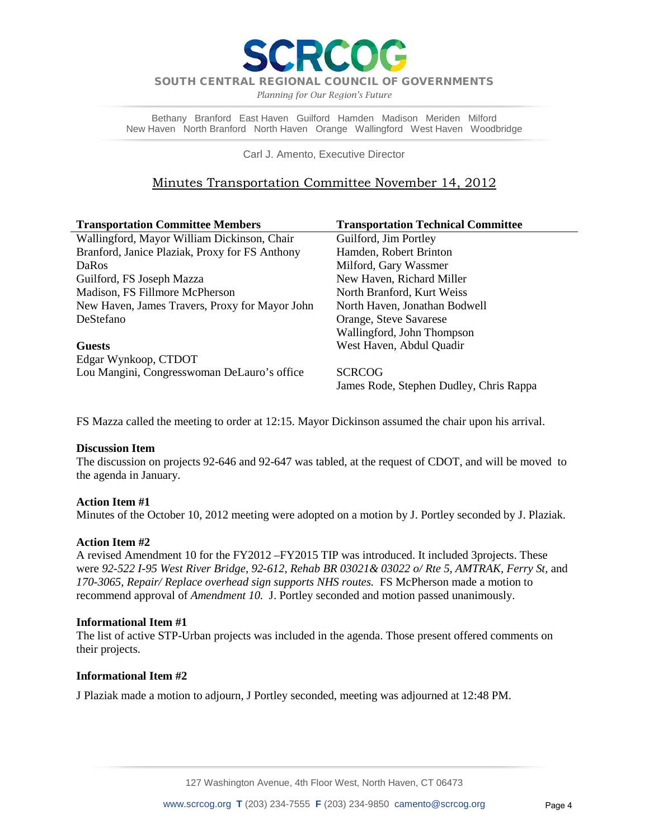DCC

SOUTH CENTRAL REGIONAL COUNCIL OF GOVERNMENTS

*Planning for Our Region's Future*

Bethany Branford East Haven Guilford Hamden Madison Meriden Milford New Haven North Branford North Haven Orange Wallingford West Haven Woodbridge

Carl J. Amento, Executive Director

# Minutes Transportation Committee November 14, 2012

| <b>Transportation Committee Members</b>        | <b>Transportation Technical Committee</b> |
|------------------------------------------------|-------------------------------------------|
| Wallingford, Mayor William Dickinson, Chair    | Guilford, Jim Portley                     |
| Branford, Janice Plaziak, Proxy for FS Anthony | Hamden, Robert Brinton                    |
| DaRos                                          | Milford, Gary Wassmer                     |
| Guilford, FS Joseph Mazza                      | New Haven, Richard Miller                 |
| Madison, FS Fillmore McPherson                 | North Branford, Kurt Weiss                |
| New Haven, James Travers, Proxy for Mayor John | North Haven, Jonathan Bodwell             |
| DeStefano                                      | Orange, Steve Savarese                    |
|                                                | Wallingford, John Thompson                |
| <b>Guests</b>                                  | West Haven, Abdul Quadir                  |
| Edgar Wynkoop, CTDOT                           |                                           |
| Lou Mangini, Congresswoman DeLauro's office    | <b>SCRCOG</b>                             |
|                                                | James Rode, Stephen Dudley, Chris Rappa   |

FS Mazza called the meeting to order at 12:15. Mayor Dickinson assumed the chair upon his arrival.

#### **Discussion Item**

The discussion on projects 92-646 and 92-647 was tabled, at the request of CDOT, and will be moved to the agenda in January.

### **Action Item #1**

Minutes of the October 10, 2012 meeting were adopted on a motion by J. Portley seconded by J. Plaziak.

### **Action Item #2**

A revised Amendment 10 for the FY2012 –FY2015 TIP was introduced. It included 3projects. These were *92-522 I-95 West River Bridge, 92-612, Rehab BR 03021& 03022 o/ Rte 5, AMTRAK, Ferry St,* and *170-3065, Repair/ Replace overhead sign supports NHS routes.* FS McPherson made a motion to recommend approval of *Amendment 10.* J. Portley seconded and motion passed unanimously.

#### **Informational Item #1**

The list of active STP-Urban projects was included in the agenda. Those present offered comments on their projects.

### **Informational Item #2**

J Plaziak made a motion to adjourn, J Portley seconded, meeting was adjourned at 12:48 PM.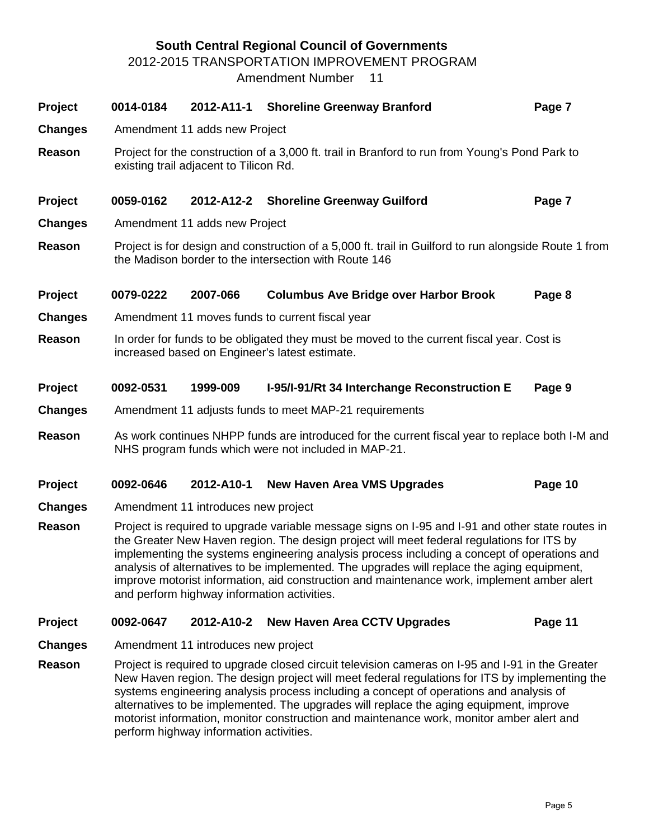# **South Central Regional Council of Governments**

2012-2015 TRANSPORTATION IMPROVEMENT PROGRAM

Amendment Number 11

| Project        | 0014-0184                                                                                                                                                      | 2012-A11-1 | <b>Shoreline Greenway Branford</b>                                                                                                                                                                                                                                                                                                                                                                                                                                                                                                      | Page 7  |  |  |  |  |  |  |
|----------------|----------------------------------------------------------------------------------------------------------------------------------------------------------------|------------|-----------------------------------------------------------------------------------------------------------------------------------------------------------------------------------------------------------------------------------------------------------------------------------------------------------------------------------------------------------------------------------------------------------------------------------------------------------------------------------------------------------------------------------------|---------|--|--|--|--|--|--|
| <b>Changes</b> | Amendment 11 adds new Project                                                                                                                                  |            |                                                                                                                                                                                                                                                                                                                                                                                                                                                                                                                                         |         |  |  |  |  |  |  |
| Reason         | existing trail adjacent to Tilicon Rd.                                                                                                                         |            | Project for the construction of a 3,000 ft. trail in Branford to run from Young's Pond Park to                                                                                                                                                                                                                                                                                                                                                                                                                                          |         |  |  |  |  |  |  |
| Project        | 0059-0162                                                                                                                                                      |            | 2012-A12-2 Shoreline Greenway Guilford                                                                                                                                                                                                                                                                                                                                                                                                                                                                                                  | Page 7  |  |  |  |  |  |  |
| <b>Changes</b> | Amendment 11 adds new Project                                                                                                                                  |            |                                                                                                                                                                                                                                                                                                                                                                                                                                                                                                                                         |         |  |  |  |  |  |  |
| Reason         | Project is for design and construction of a 5,000 ft. trail in Guilford to run alongside Route 1 from<br>the Madison border to the intersection with Route 146 |            |                                                                                                                                                                                                                                                                                                                                                                                                                                                                                                                                         |         |  |  |  |  |  |  |
| Project        | 0079-0222                                                                                                                                                      | 2007-066   | <b>Columbus Ave Bridge over Harbor Brook</b>                                                                                                                                                                                                                                                                                                                                                                                                                                                                                            | Page 8  |  |  |  |  |  |  |
| <b>Changes</b> |                                                                                                                                                                |            | Amendment 11 moves funds to current fiscal year                                                                                                                                                                                                                                                                                                                                                                                                                                                                                         |         |  |  |  |  |  |  |
| Reason         | In order for funds to be obligated they must be moved to the current fiscal year. Cost is<br>increased based on Engineer's latest estimate.                    |            |                                                                                                                                                                                                                                                                                                                                                                                                                                                                                                                                         |         |  |  |  |  |  |  |
| Project        | 0092-0531                                                                                                                                                      | 1999-009   | I-95/I-91/Rt 34 Interchange Reconstruction E                                                                                                                                                                                                                                                                                                                                                                                                                                                                                            | Page 9  |  |  |  |  |  |  |
| <b>Changes</b> |                                                                                                                                                                |            | Amendment 11 adjusts funds to meet MAP-21 requirements                                                                                                                                                                                                                                                                                                                                                                                                                                                                                  |         |  |  |  |  |  |  |
| Reason         |                                                                                                                                                                |            | As work continues NHPP funds are introduced for the current fiscal year to replace both I-M and<br>NHS program funds which were not included in MAP-21.                                                                                                                                                                                                                                                                                                                                                                                 |         |  |  |  |  |  |  |
| Project        | 0092-0646                                                                                                                                                      | 2012-A10-1 | <b>New Haven Area VMS Upgrades</b>                                                                                                                                                                                                                                                                                                                                                                                                                                                                                                      | Page 10 |  |  |  |  |  |  |
| <b>Changes</b> |                                                                                                                                                                |            |                                                                                                                                                                                                                                                                                                                                                                                                                                                                                                                                         |         |  |  |  |  |  |  |
| Reason         | Amendment 11 introduces new project                                                                                                                            |            |                                                                                                                                                                                                                                                                                                                                                                                                                                                                                                                                         |         |  |  |  |  |  |  |
|                |                                                                                                                                                                |            | Project is required to upgrade variable message signs on I-95 and I-91 and other state routes in<br>the Greater New Haven region. The design project will meet federal regulations for ITS by<br>implementing the systems engineering analysis process including a concept of operations and<br>analysis of alternatives to be implemented. The upgrades will replace the aging equipment,<br>improve motorist information, aid construction and maintenance work, implement amber alert<br>and perform highway information activities. |         |  |  |  |  |  |  |
| Project        | 0092-0647                                                                                                                                                      | 2012-A10-2 | <b>New Haven Area CCTV Upgrades</b>                                                                                                                                                                                                                                                                                                                                                                                                                                                                                                     | Page 11 |  |  |  |  |  |  |

**Reason** Project is required to upgrade closed circuit television cameras on I-95 and I-91 in the Greater New Haven region. The design project will meet federal regulations for ITS by implementing the systems engineering analysis process including a concept of operations and analysis of alternatives to be implemented. The upgrades will replace the aging equipment, improve motorist information, monitor construction and maintenance work, monitor amber alert and perform highway information activities.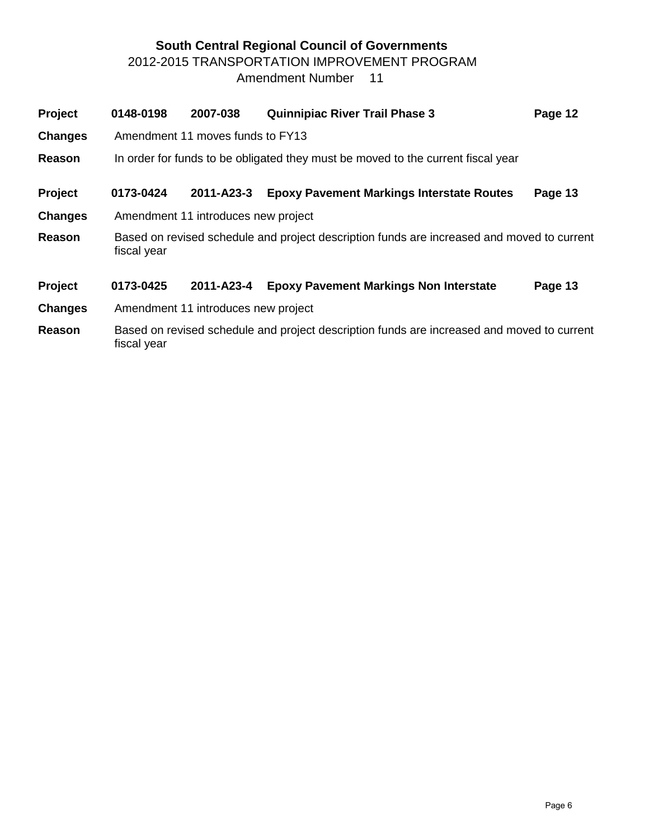# **South Central Regional Council of Governments** 2012-2015 TRANSPORTATION IMPROVEMENT PROGRAM Amendment Number 11

| Project        | 0148-0198   | 2007-038                                                                         | <b>Quinnipiac River Trail Phase 3</b>                                                      | Page 12 |  |  |  |  |  |  |  |
|----------------|-------------|----------------------------------------------------------------------------------|--------------------------------------------------------------------------------------------|---------|--|--|--|--|--|--|--|
| <b>Changes</b> |             | Amendment 11 moves funds to FY13                                                 |                                                                                            |         |  |  |  |  |  |  |  |
| <b>Reason</b>  |             | In order for funds to be obligated they must be moved to the current fiscal year |                                                                                            |         |  |  |  |  |  |  |  |
| Project        | 0173-0424   | 2011-A23-3                                                                       | <b>Epoxy Pavement Markings Interstate Routes</b>                                           | Page 13 |  |  |  |  |  |  |  |
| <b>Changes</b> |             | Amendment 11 introduces new project                                              |                                                                                            |         |  |  |  |  |  |  |  |
| Reason         | fiscal year |                                                                                  | Based on revised schedule and project description funds are increased and moved to current |         |  |  |  |  |  |  |  |
| Project        | 0173-0425   | 2011-A23-4                                                                       | <b>Epoxy Pavement Markings Non Interstate</b>                                              | Page 13 |  |  |  |  |  |  |  |
| <b>Changes</b> |             | Amendment 11 introduces new project                                              |                                                                                            |         |  |  |  |  |  |  |  |
| <b>Reason</b>  | fiscal year |                                                                                  | Based on revised schedule and project description funds are increased and moved to current |         |  |  |  |  |  |  |  |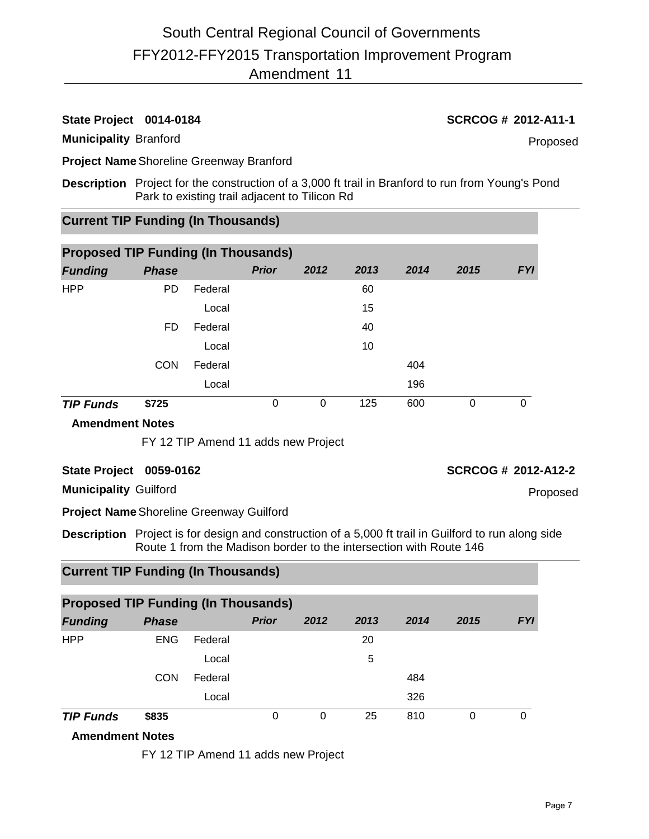# **State Project 0014-0184 SCRCOG # 2012-A11-1**

### **Municipality** Branford

Proposed

**Project Name**Shoreline Greenway Branford

**Description** Project for the construction of a 3,000 ft trail in Branford to run from Young's Pond Park to existing trail adjacent to Tilicon Rd

# **Current TIP Funding (In Thousands)**

| <b>Proposed TIP Funding (In Thousands)</b> |              |         |              |      |      |      |      |            |  |  |  |  |
|--------------------------------------------|--------------|---------|--------------|------|------|------|------|------------|--|--|--|--|
| <b>Funding</b>                             | <b>Phase</b> |         | <b>Prior</b> | 2012 | 2013 | 2014 | 2015 | <b>FYI</b> |  |  |  |  |
| <b>HPP</b>                                 | <b>PD</b>    | Federal |              |      | 60   |      |      |            |  |  |  |  |
|                                            |              | Local   |              |      | 15   |      |      |            |  |  |  |  |
|                                            | FD           | Federal |              |      | 40   |      |      |            |  |  |  |  |
|                                            |              | Local   |              |      | 10   |      |      |            |  |  |  |  |
|                                            | <b>CON</b>   | Federal |              |      |      | 404  |      |            |  |  |  |  |
|                                            |              | Local   |              |      |      | 196  |      |            |  |  |  |  |
| <b>TIP Funds</b>                           | \$725        |         | 0            | 0    | 125  | 600  | 0    | 0          |  |  |  |  |

#### **Amendment Notes**

FY 12 TIP Amend 11 adds new Project

### **State Project 0059-0162 SCRCOG # 2012-A12-2**

**Municipality** Guilford

**Project Name**Shoreline Greenway Guilford

**Description** Project is for design and construction of a 5,000 ft trail in Guilford to run along side Route 1 from the Madison border to the intersection with Route 146

# **Current TIP Funding (In Thousands)**

|                  | <b>Proposed TIP Funding (In Thousands)</b> |         |              |      |      |      |      |            |  |  |  |  |  |
|------------------|--------------------------------------------|---------|--------------|------|------|------|------|------------|--|--|--|--|--|
| <b>Funding</b>   | <b>Phase</b>                               |         | <b>Prior</b> | 2012 | 2013 | 2014 | 2015 | <b>FYI</b> |  |  |  |  |  |
| <b>HPP</b>       | <b>ENG</b>                                 | Federal |              |      | 20   |      |      |            |  |  |  |  |  |
|                  |                                            | Local   |              |      | 5    |      |      |            |  |  |  |  |  |
|                  | <b>CON</b>                                 | Federal |              |      |      | 484  |      |            |  |  |  |  |  |
|                  |                                            | Local   |              |      |      | 326  |      |            |  |  |  |  |  |
| <b>TIP Funds</b> | \$835                                      |         | 0            | 0    | 25   | 810  | 0    | 0          |  |  |  |  |  |

## **Amendment Notes**

FY 12 TIP Amend 11 adds new Project

Proposed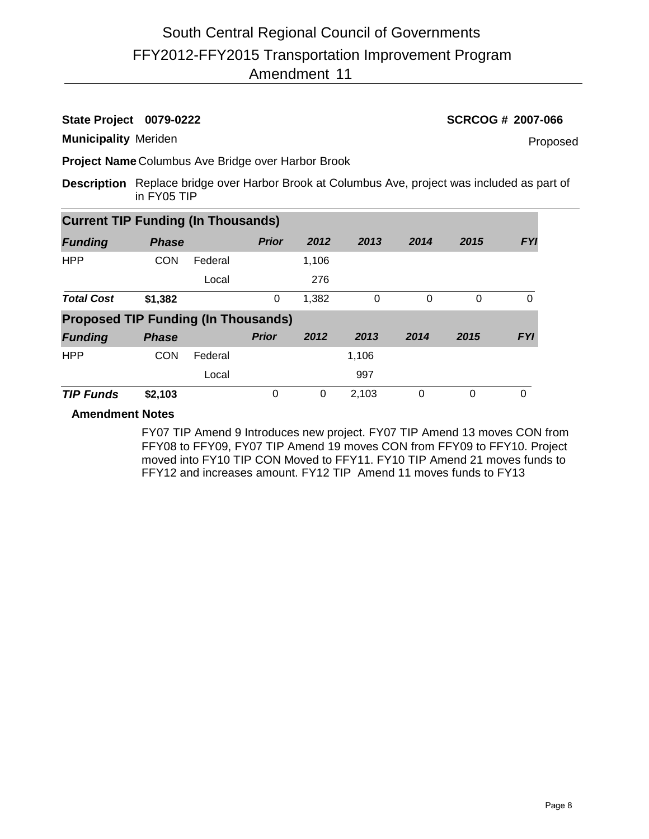# **State Project 0079-0222 SCRCOG # 2007-066**

**Municipality** Meriden

Proposed

**Project Name** Columbus Ave Bridge over Harbor Brook

**Description** Replace bridge over Harbor Brook at Columbus Ave, project was included as part of in FY05 TIP

|                                            | <b>Current TIP Funding (In Thousands)</b> |         |              |       |       |          |          |            |  |  |  |  |  |
|--------------------------------------------|-------------------------------------------|---------|--------------|-------|-------|----------|----------|------------|--|--|--|--|--|
| <b>Funding</b>                             | <b>Phase</b>                              |         | <b>Prior</b> | 2012  | 2013  | 2014     | 2015     | <b>FYI</b> |  |  |  |  |  |
| <b>HPP</b>                                 | <b>CON</b>                                | Federal |              | 1,106 |       |          |          |            |  |  |  |  |  |
|                                            |                                           | Local   |              | 276   |       |          |          |            |  |  |  |  |  |
| <b>Total Cost</b>                          | \$1,382                                   |         | 0            | 1,382 | 0     | $\Omega$ | 0        | 0          |  |  |  |  |  |
| <b>Proposed TIP Funding (In Thousands)</b> |                                           |         |              |       |       |          |          |            |  |  |  |  |  |
| <b>Funding</b>                             | <b>Phase</b>                              |         | <b>Prior</b> | 2012  | 2013  | 2014     | 2015     | <b>FYI</b> |  |  |  |  |  |
| <b>HPP</b>                                 | <b>CON</b>                                | Federal |              |       | 1,106 |          |          |            |  |  |  |  |  |
|                                            |                                           | Local   |              |       | 997   |          |          |            |  |  |  |  |  |
| <b>TIP Funds</b>                           | \$2,103                                   |         | 0            | 0     | 2,103 | $\Omega$ | $\Omega$ | $\Omega$   |  |  |  |  |  |

## **Amendment Notes**

FY07 TIP Amend 9 Introduces new project. FY07 TIP Amend 13 moves CON from FFY08 to FFY09, FY07 TIP Amend 19 moves CON from FFY09 to FFY10. Project moved into FY10 TIP CON Moved to FFY11. FY10 TIP Amend 21 moves funds to FFY12 and increases amount. FY12 TIP Amend 11 moves funds to FY13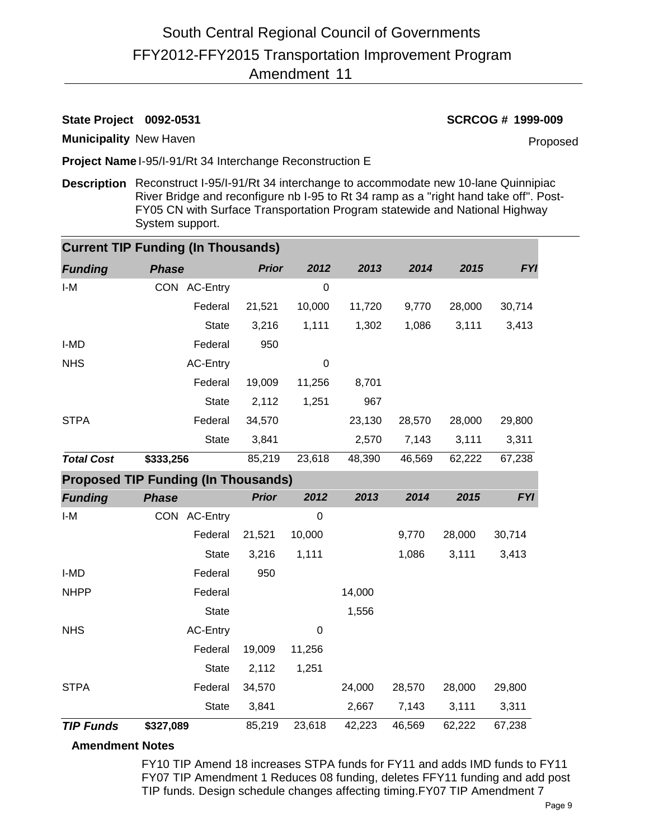# FFY2012-FFY2015 Transportation Improvement Program 11 Amendment South Central Regional Council of Governments

# **State Project 0092-0531 SCRCOG # 1999-009**

**Municipality** New Haven

Proposed

**Project Name** I-95/I-91/Rt 34 Interchange Reconstruction E

**Description** Reconstruct I-95/I-91/Rt 34 interchange to accommodate new 10-lane Quinnipiac River Bridge and reconfigure nb I-95 to Rt 34 ramp as a "right hand take off". Post-FY05 CN with Surface Transportation Program statewide and National Highway System support.

|                   | <b>Current TIP Funding (In Thousands)</b>  |              |             |        |        |        |            |
|-------------------|--------------------------------------------|--------------|-------------|--------|--------|--------|------------|
| <b>Funding</b>    | <b>Phase</b>                               | <b>Prior</b> | 2012        | 2013   | 2014   | 2015   | <b>FYI</b> |
| $I-M$             | CON AC-Entry                               |              | $\mathbf 0$ |        |        |        |            |
|                   | Federal                                    | 21,521       | 10,000      | 11,720 | 9,770  | 28,000 | 30,714     |
|                   | <b>State</b>                               | 3,216        | 1,111       | 1,302  | 1,086  | 3,111  | 3,413      |
| I-MD              | Federal                                    | 950          |             |        |        |        |            |
| <b>NHS</b>        | AC-Entry                                   |              | $\mathbf 0$ |        |        |        |            |
|                   | Federal                                    | 19,009       | 11,256      | 8,701  |        |        |            |
|                   | <b>State</b>                               | 2,112        | 1,251       | 967    |        |        |            |
| <b>STPA</b>       | Federal                                    | 34,570       |             | 23,130 | 28,570 | 28,000 | 29,800     |
|                   | <b>State</b>                               | 3,841        |             | 2,570  | 7,143  | 3,111  | 3,311      |
| <b>Total Cost</b> | \$333,256                                  | 85,219       | 23,618      | 48,390 | 46,569 | 62,222 | 67,238     |
|                   | <b>Proposed TIP Funding (In Thousands)</b> |              |             |        |        |        |            |
| <b>Funding</b>    | <b>Phase</b>                               | <b>Prior</b> | 2012        | 2013   | 2014   | 2015   | <b>FYI</b> |
| $I-M$             | CON AC-Entry                               |              | 0           |        |        |        |            |
|                   | Federal                                    | 21,521       | 10,000      |        | 9,770  | 28,000 | 30,714     |
|                   | <b>State</b>                               | 3,216        | 1,111       |        | 1,086  | 3,111  | 3,413      |
| I-MD              | Federal                                    | 950          |             |        |        |        |            |
| <b>NHPP</b>       | Federal                                    |              |             | 14,000 |        |        |            |
|                   | <b>State</b>                               |              |             | 1,556  |        |        |            |
| <b>NHS</b>        | AC-Entry                                   |              | 0           |        |        |        |            |
|                   | Federal                                    | 19,009       | 11,256      |        |        |        |            |
|                   | <b>State</b>                               | 2,112        | 1,251       |        |        |        |            |
| <b>STPA</b>       | Federal                                    | 34,570       |             | 24,000 | 28,570 | 28,000 | 29,800     |
|                   | <b>State</b>                               | 3,841        |             | 2,667  | 7,143  | 3,111  | 3,311      |
| <b>TIP Funds</b>  | \$327,089                                  | 85,219       | 23,618      | 42,223 | 46,569 | 62,222 | 67,238     |

## **Amendment Notes**

FY10 TIP Amend 18 increases STPA funds for FY11 and adds IMD funds to FY11 FY07 TIP Amendment 1 Reduces 08 funding, deletes FFY11 funding and add post TIP funds. Design schedule changes affecting timing.FY07 TIP Amendment 7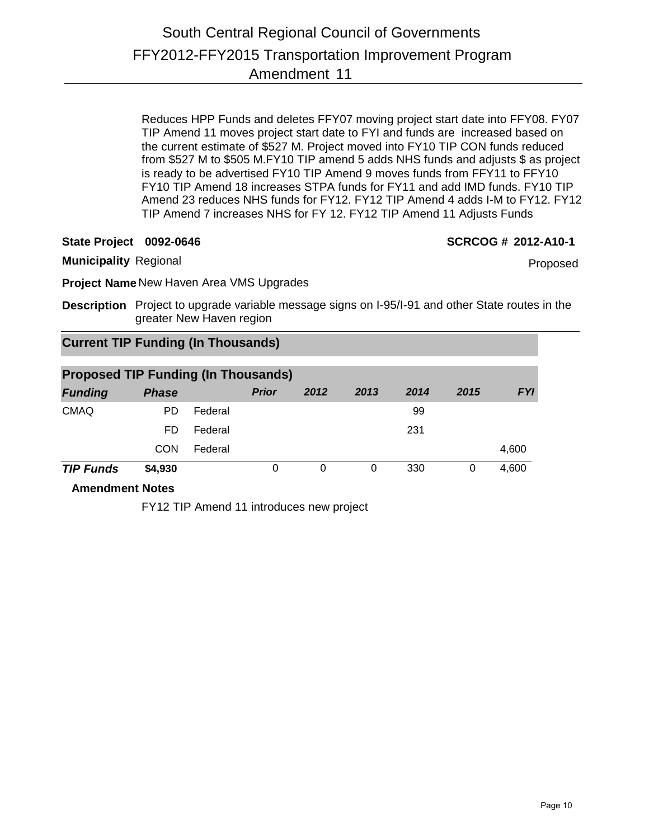Reduces HPP Funds and deletes FFY07 moving project start date into FFY08. FY07 TIP Amend 11 moves project start date to FYI and funds are increased based on the current estimate of \$527 M. Project moved into FY10 TIP CON funds reduced from \$527 M to \$505 M.FY10 TIP amend 5 adds NHS funds and adjusts \$ as project is ready to be advertised FY10 TIP Amend 9 moves funds from FFY11 to FFY10 FY10 TIP Amend 18 increases STPA funds for FY11 and add IMD funds. FY10 TIP Amend 23 reduces NHS funds for FY12. FY12 TIP Amend 4 adds I-M to FY12. FY12 TIP Amend 7 increases NHS for FY 12. FY12 TIP Amend 11 Adjusts Funds

**State Project 0092-0646 SCRCOG # 2012-A10-1**

Proposed

**Municipality** Regional

**Project Name** New Haven Area VMS Upgrades

**Description** Project to upgrade variable message signs on I-95/I-91 and other State routes in the greater New Haven region

# **Current TIP Funding (In Thousands)**

| <b>Proposed TIP Funding (In Thousands)</b> |              |         |              |      |      |      |      |            |  |  |  |
|--------------------------------------------|--------------|---------|--------------|------|------|------|------|------------|--|--|--|
| <b>Funding</b>                             | <b>Phase</b> |         | <b>Prior</b> | 2012 | 2013 | 2014 | 2015 | <b>FYI</b> |  |  |  |
| <b>CMAQ</b>                                | PD.          | Federal |              |      |      | 99   |      |            |  |  |  |
|                                            | FD.          | Federal |              |      |      | 231  |      |            |  |  |  |
|                                            | CON          | Federal |              |      |      |      |      | 4,600      |  |  |  |
| <b>TIP Funds</b>                           | \$4,930      |         | 0            | 0    | 0    | 330  | 0    | 4,600      |  |  |  |

**Amendment Notes**

FY12 TIP Amend 11 introduces new project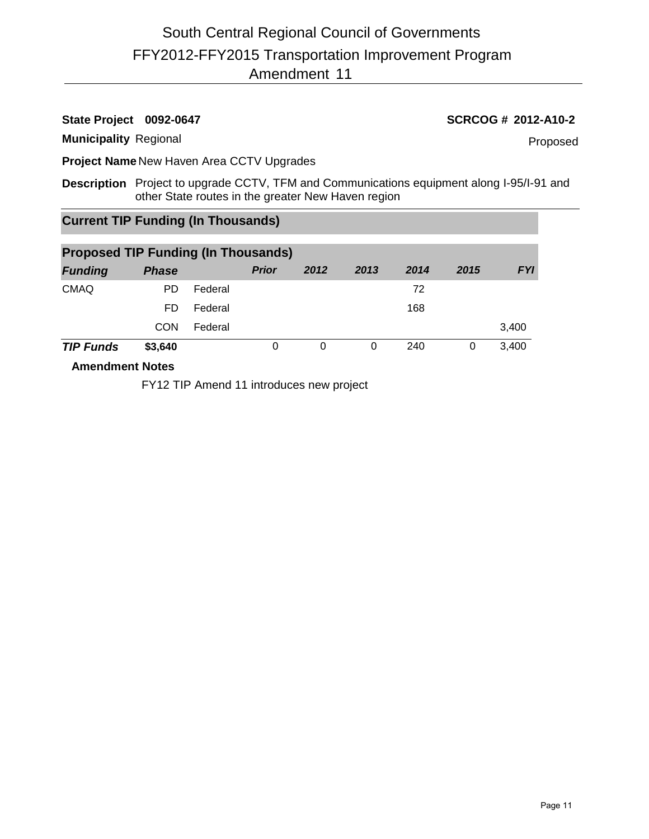# FFY2012-FFY2015 Transportation Improvement Program 11 Amendment South Central Regional Council of Governments

### **Municipality** Regional

## **State Project 0092-0647 SCRCOG # 2012-A10-2**

Proposed

**Project Name** New Haven Area CCTV Upgrades

**Description** Project to upgrade CCTV, TFM and Communications equipment along I-95/I-91 and other State routes in the greater New Haven region

# **Current TIP Funding (In Thousands)**

| <b>Proposed TIP Funding (In Thousands)</b>                                                                     |              |         |              |      |      |      |      |            |  |  |  |
|----------------------------------------------------------------------------------------------------------------|--------------|---------|--------------|------|------|------|------|------------|--|--|--|
| <b>Funding</b>                                                                                                 | <b>Phase</b> |         | <b>Prior</b> | 2012 | 2013 | 2014 | 2015 | <b>FYI</b> |  |  |  |
| <b>CMAQ</b>                                                                                                    | PD.          | Federal |              |      |      | 72   |      |            |  |  |  |
|                                                                                                                | FD.          | Federal |              |      |      | 168  |      |            |  |  |  |
|                                                                                                                | <b>CON</b>   | Federal |              |      |      |      |      | 3,400      |  |  |  |
| <b>TIP Funds</b>                                                                                               | \$3,640      |         | 0            | 0    | 0    | 240  | 0    | 3,400      |  |  |  |
| A contract the contract All of the contract of the contract of the contract of the contract of the contract of |              |         |              |      |      |      |      |            |  |  |  |

**Amendment Notes**

FY12 TIP Amend 11 introduces new project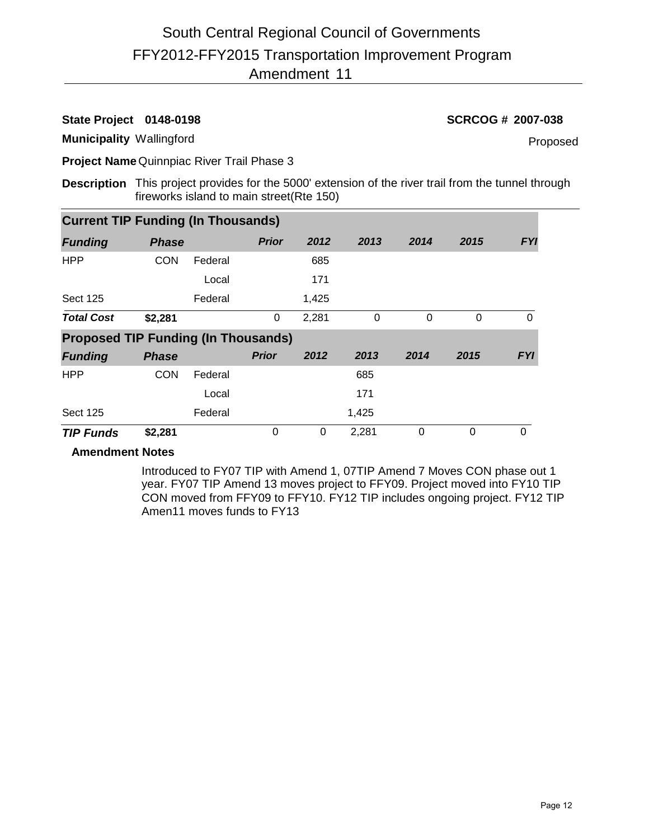# FFY2012-FFY2015 Transportation Improvement Program 11 Amendment South Central Regional Council of Governments

**State Project 0148-0198 SCRCOG # 2007-038**

**Municipality** Wallingford

Proposed

**Project Name** Quinnpiac River Trail Phase 3

**Description** This project provides for the 5000' extension of the river trail from the tunnel through fireworks island to main street(Rte 150)

| <b>Current TIP Funding (In Thousands)</b>  |              |         |              |       |       |          |          |            |
|--------------------------------------------|--------------|---------|--------------|-------|-------|----------|----------|------------|
| <b>Funding</b>                             | <b>Phase</b> |         | <b>Prior</b> | 2012  | 2013  | 2014     | 2015     | <b>FYI</b> |
| <b>HPP</b>                                 | <b>CON</b>   | Federal |              | 685   |       |          |          |            |
|                                            |              | Local   |              | 171   |       |          |          |            |
| <b>Sect 125</b>                            |              | Federal |              | 1,425 |       |          |          |            |
| <b>Total Cost</b>                          | \$2,281      |         | 0            | 2,281 | 0     | $\Omega$ | $\Omega$ | $\Omega$   |
| <b>Proposed TIP Funding (In Thousands)</b> |              |         |              |       |       |          |          |            |
| <b>Funding</b>                             | <b>Phase</b> |         | <b>Prior</b> | 2012  | 2013  | 2014     | 2015     | <b>FYI</b> |
| <b>HPP</b>                                 | <b>CON</b>   | Federal |              |       | 685   |          |          |            |
|                                            |              | Local   |              |       | 171   |          |          |            |
| <b>Sect 125</b>                            |              | Federal |              |       | 1,425 |          |          |            |
| <b>TIP Funds</b>                           | \$2,281      |         | 0            | 0     | 2,281 | $\Omega$ | $\Omega$ | $\Omega$   |

## **Amendment Notes**

Introduced to FY07 TIP with Amend 1, 07TIP Amend 7 Moves CON phase out 1 year. FY07 TIP Amend 13 moves project to FFY09. Project moved into FY10 TIP CON moved from FFY09 to FFY10. FY12 TIP includes ongoing project. FY12 TIP Amen11 moves funds to FY13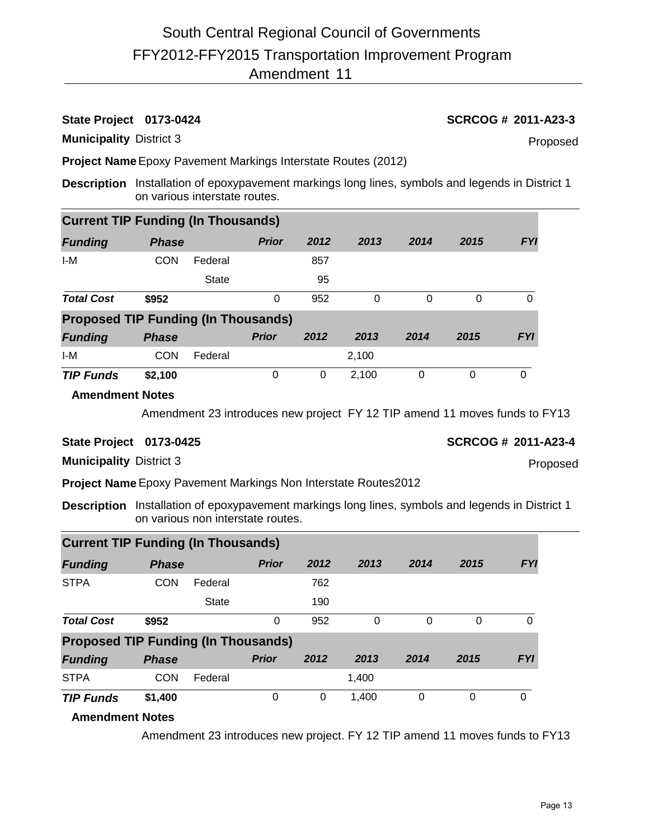# **State Project 0173-0424 SCRCOG # 2011-A23-3**

**Municipality** District 3

Proposed

**Project Name**Epoxy Pavement Markings Interstate Routes (2012)

**Description** Installation of epoxypavement markings long lines, symbols and legends in District 1 on various interstate routes.

| <b>Current TIP Funding (In Thousands)</b>  |              |              |              |      |       |      |          |            |  |  |  |  |
|--------------------------------------------|--------------|--------------|--------------|------|-------|------|----------|------------|--|--|--|--|
| <b>Funding</b>                             | <b>Phase</b> |              | <b>Prior</b> | 2012 | 2013  | 2014 | 2015     | <b>FYI</b> |  |  |  |  |
| I-M                                        | <b>CON</b>   | Federal      |              | 857  |       |      |          |            |  |  |  |  |
|                                            |              | <b>State</b> |              | 95   |       |      |          |            |  |  |  |  |
| <b>Total Cost</b>                          | \$952        |              | 0            | 952  | 0     | 0    | $\Omega$ | 0          |  |  |  |  |
| <b>Proposed TIP Funding (In Thousands)</b> |              |              |              |      |       |      |          |            |  |  |  |  |
| <b>Funding</b>                             | <b>Phase</b> |              | <b>Prior</b> | 2012 | 2013  | 2014 | 2015     | <b>FYI</b> |  |  |  |  |
| I-M                                        | <b>CON</b>   | Federal      |              |      | 2,100 |      |          |            |  |  |  |  |
| <b>TIP Funds</b>                           | \$2,100      |              | 0            | 0    | 2,100 | 0    | 0        | 0          |  |  |  |  |

### **Amendment Notes**

Amendment 23 introduces new project FY 12 TIP amend 11 moves funds to FY13

**State Project 0173-0425 SCRCOG # 2011-A23-4**

Proposed

**Municipality** District 3

**Project Name**Epoxy Pavement Markings Non Interstate Routes2012

**Description** Installation of epoxypavement markings long lines, symbols and legends in District 1 on various non interstate routes.

| <b>Current TIP Funding (In Thousands)</b>  |              |              |              |      |       |      |          |            |  |  |  |  |
|--------------------------------------------|--------------|--------------|--------------|------|-------|------|----------|------------|--|--|--|--|
| <b>Funding</b>                             | <b>Phase</b> |              | <b>Prior</b> | 2012 | 2013  | 2014 | 2015     | <b>FYI</b> |  |  |  |  |
| <b>STPA</b>                                | <b>CON</b>   | Federal      |              | 762  |       |      |          |            |  |  |  |  |
|                                            |              | <b>State</b> |              | 190  |       |      |          |            |  |  |  |  |
| <b>Total Cost</b>                          | \$952        |              | 0            | 952  | 0     | 0    | 0        | 0          |  |  |  |  |
| <b>Proposed TIP Funding (In Thousands)</b> |              |              |              |      |       |      |          |            |  |  |  |  |
| <b>Funding</b>                             | <b>Phase</b> |              | <b>Prior</b> | 2012 | 2013  | 2014 | 2015     | <b>FYI</b> |  |  |  |  |
| <b>STPA</b>                                | <b>CON</b>   | Federal      |              |      | 1.400 |      |          |            |  |  |  |  |
| <b>TIP Funds</b>                           | \$1,400      |              | 0            | 0    | 1,400 | 0    | $\Omega$ | 0          |  |  |  |  |

## **Amendment Notes**

Amendment 23 introduces new project. FY 12 TIP amend 11 moves funds to FY13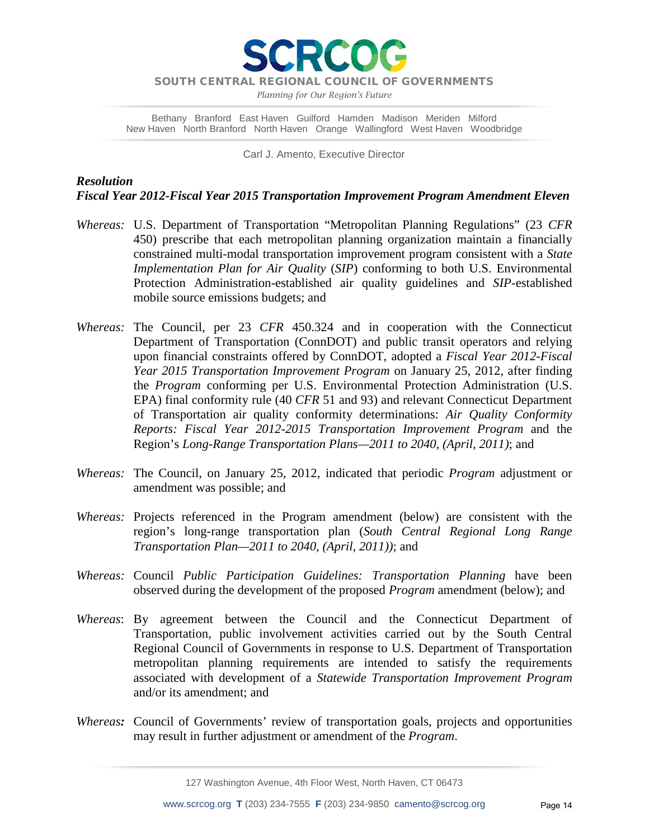

*Planning for Our Region's Future*

Bethany Branford East Haven Guilford Hamden Madison Meriden Milford New Haven North Branford North Haven Orange Wallingford West Haven Woodbridge

Carl J. Amento, Executive Director

# *Resolution Fiscal Year 2012-Fiscal Year 2015 Transportation Improvement Program Amendment Eleven*

- *Whereas:* U.S. Department of Transportation "Metropolitan Planning Regulations" (23 *CFR* 450) prescribe that each metropolitan planning organization maintain a financially constrained multi-modal transportation improvement program consistent with a *State Implementation Plan for Air Quality* (*SIP*) conforming to both U.S. Environmental Protection Administration-established air quality guidelines and *SIP*-established mobile source emissions budgets; and
- *Whereas:* The Council, per 23 *CFR* 450.324 and in cooperation with the Connecticut Department of Transportation (ConnDOT) and public transit operators and relying upon financial constraints offered by ConnDOT, adopted a *Fiscal Year 2012-Fiscal Year 2015 Transportation Improvement Program* on January 25, 2012, after finding the *Program* conforming per U.S. Environmental Protection Administration (U.S. EPA) final conformity rule (40 *CFR* 51 and 93) and relevant Connecticut Department of Transportation air quality conformity determinations: *Air Quality Conformity Reports: Fiscal Year 2012-2015 Transportation Improvement Program* and the Region's *Long-Range Transportation Plans—2011 to 2040, (April, 2011)*; and
- *Whereas:* The Council, on January 25, 2012, indicated that periodic *Program* adjustment or amendment was possible; and
- *Whereas:* Projects referenced in the Program amendment (below) are consistent with the region's long-range transportation plan (*South Central Regional Long Range Transportation Plan—2011 to 2040, (April, 2011))*; and
- *Whereas:* Council *Public Participation Guidelines: Transportation Planning* have been observed during the development of the proposed *Program* amendment (below); and
- *Whereas*: By agreement between the Council and the Connecticut Department of Transportation, public involvement activities carried out by the South Central Regional Council of Governments in response to U.S. Department of Transportation metropolitan planning requirements are intended to satisfy the requirements associated with development of a *Statewide Transportation Improvement Program* and/or its amendment; and
- *Whereas:* Council of Governments' review of transportation goals, projects and opportunities may result in further adjustment or amendment of the *Program*.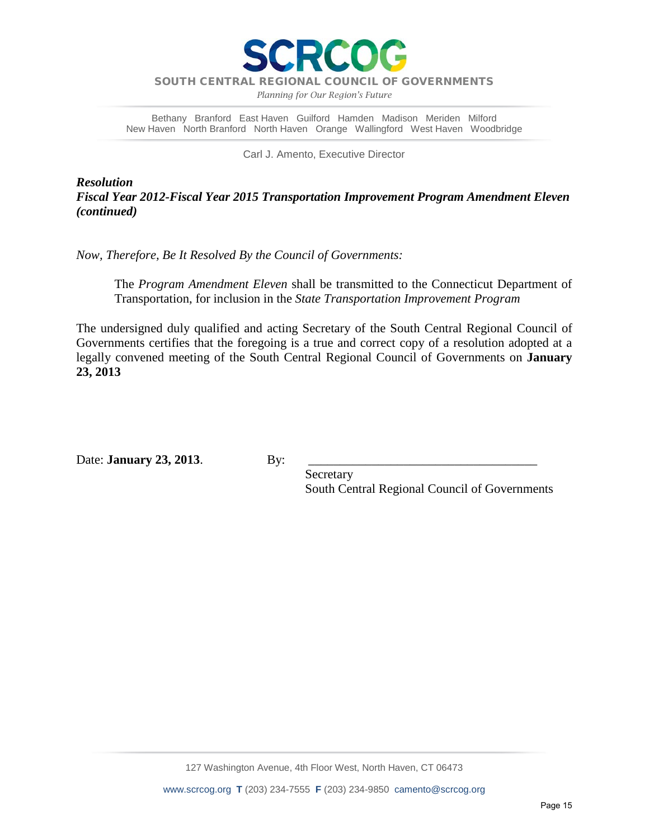

*Planning for Our Region's Future*

Bethany Branford East Haven Guilford Hamden Madison Meriden Milford New Haven North Branford North Haven Orange Wallingford West Haven Woodbridge

Carl J. Amento, Executive Director

*Resolution Fiscal Year 2012-Fiscal Year 2015 Transportation Improvement Program Amendment Eleven (continued)*

*Now, Therefore, Be It Resolved By the Council of Governments:*

The *Program Amendment Eleven* shall be transmitted to the Connecticut Department of Transportation, for inclusion in the *State Transportation Improvement Program*

The undersigned duly qualified and acting Secretary of the South Central Regional Council of Governments certifies that the foregoing is a true and correct copy of a resolution adopted at a legally convened meeting of the South Central Regional Council of Governments on **January 23, 2013**

Date: **January 23, 2013**. By:

 Secretary South Central Regional Council of Governments